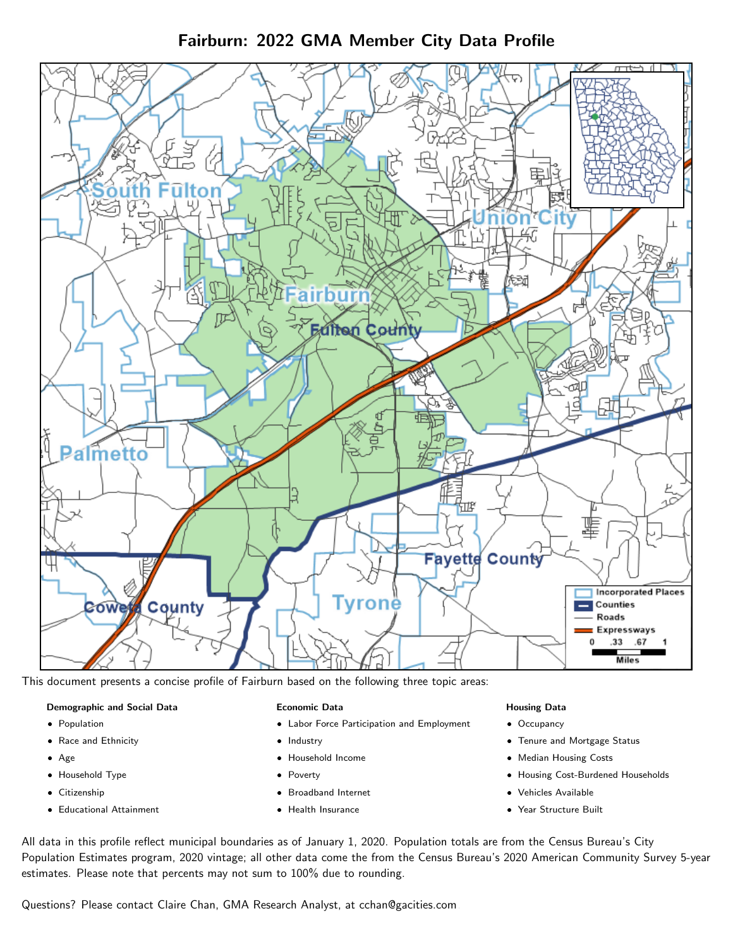Fairburn: 2022 GMA Member City Data Profile



This document presents a concise profile of Fairburn based on the following three topic areas:

## Demographic and Social Data

- **•** Population
- Race and Ethnicity
- Age
- Household Type
- **Citizenship**
- Educational Attainment

#### Economic Data

- Labor Force Participation and Employment
- Industry
- Household Income
- Poverty
- Broadband Internet
- Health Insurance

#### Housing Data

- Occupancy
- Tenure and Mortgage Status
- Median Housing Costs
- Housing Cost-Burdened Households
- Vehicles Available
- Year Structure Built

All data in this profile reflect municipal boundaries as of January 1, 2020. Population totals are from the Census Bureau's City Population Estimates program, 2020 vintage; all other data come the from the Census Bureau's 2020 American Community Survey 5-year estimates. Please note that percents may not sum to 100% due to rounding.

Questions? Please contact Claire Chan, GMA Research Analyst, at [cchan@gacities.com.](mailto:cchan@gacities.com)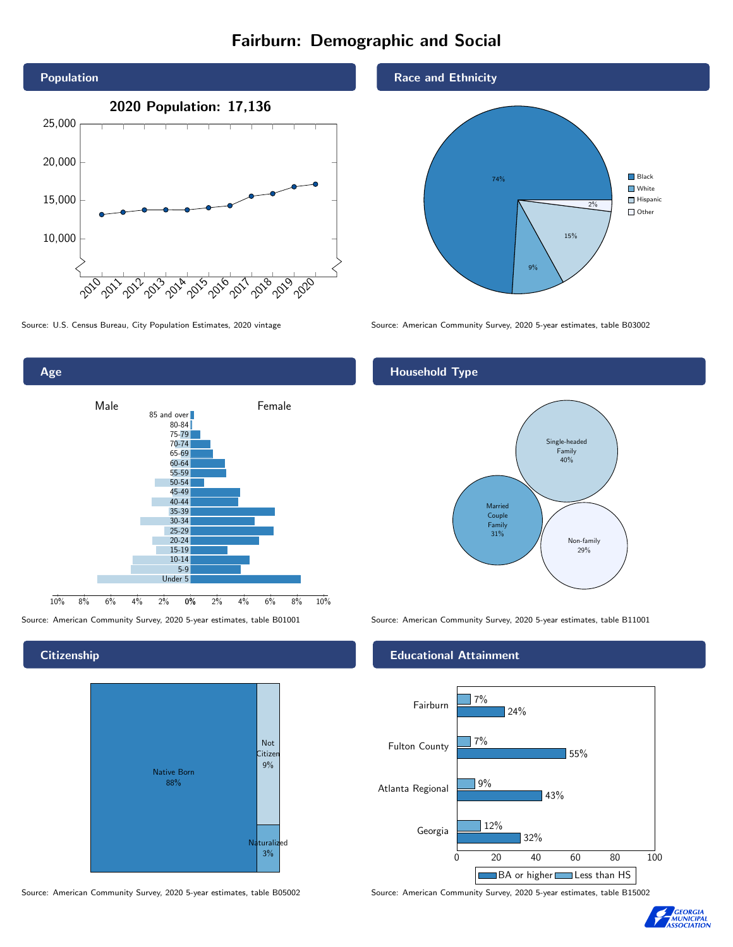# Fairburn: Demographic and Social





**Citizenship** 



Source: American Community Survey, 2020 5-year estimates, table B05002 Source: American Community Survey, 2020 5-year estimates, table B15002



Source: U.S. Census Bureau, City Population Estimates, 2020 vintage Source: American Community Survey, 2020 5-year estimates, table B03002

# Household Type



Source: American Community Survey, 2020 5-year estimates, table B01001 Source: American Community Survey, 2020 5-year estimates, table B11001

### Educational Attainment



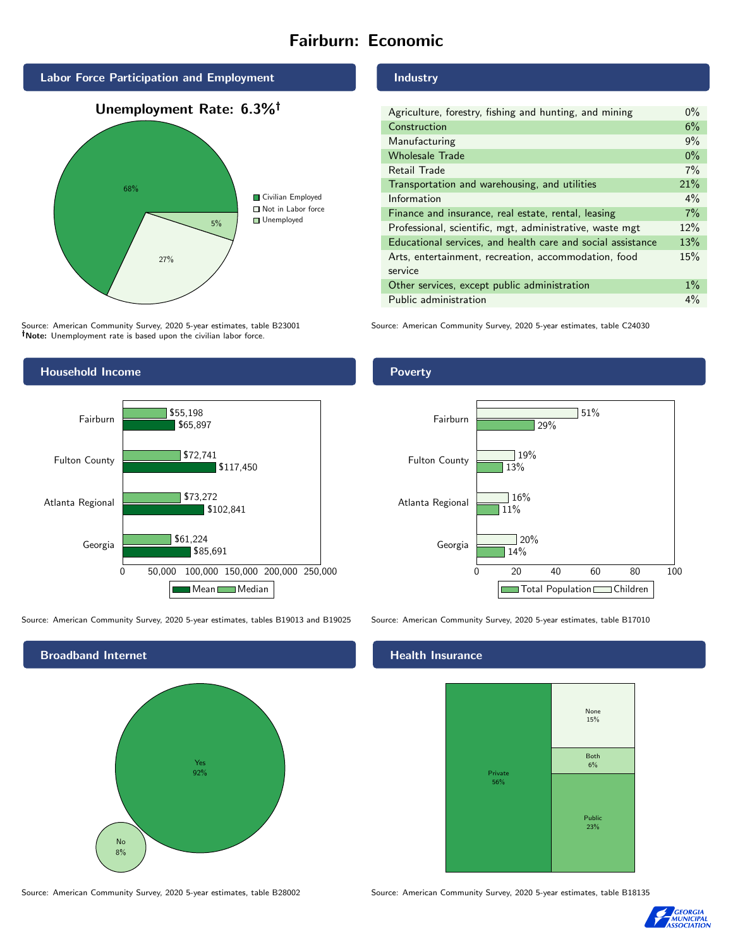# Fairburn: Economic



Source: American Community Survey, 2020 5-year estimates, table B23001 Note: Unemployment rate is based upon the civilian labor force.



Source: American Community Survey, 2020 5-year estimates, tables B19013 and B19025 Source: American Community Survey, 2020 5-year estimates, table B17010



Source: American Community Survey, 2020 5-year estimates, table B28002 Source: American Community Survey, 2020 5-year estimates, table B18135

#### Industry

| Agriculture, forestry, fishing and hunting, and mining      | $0\%$ |
|-------------------------------------------------------------|-------|
| Construction                                                | 6%    |
| Manufacturing                                               | 9%    |
| <b>Wholesale Trade</b>                                      | $0\%$ |
| Retail Trade                                                | 7%    |
| Transportation and warehousing, and utilities               | 21%   |
| Information                                                 | $4\%$ |
| Finance and insurance, real estate, rental, leasing         | 7%    |
| Professional, scientific, mgt, administrative, waste mgt    | 12%   |
| Educational services, and health care and social assistance | 13%   |
| Arts, entertainment, recreation, accommodation, food        | 15%   |
| service                                                     |       |
| Other services, except public administration                | $1\%$ |
| Public administration                                       | $4\%$ |

Source: American Community Survey, 2020 5-year estimates, table C24030

### Poverty



# **Health Insurance**